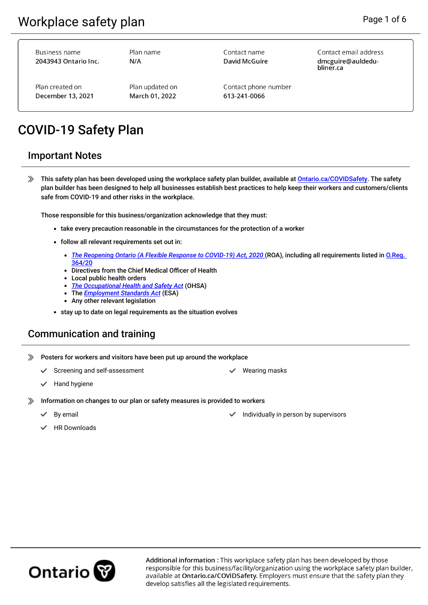**Business name** 2043943 Ontario Inc.

Plan name  $N/A$ 

Contact name David McGuire Contact email address dmcguire@auldedubliner.ca

Plan created on December 13, 2021 Plan updated on March 01, 2022

Contact phone number 613-241-0066

# COVID-19 Safety Plan

#### Important Notes

This safety plan has been developed using the workplace safety plan builder, available at [Ontario.ca/COVIDSafety](https://ontario.ca/COVIDSafety). The safety plan builder has been designed to help all businesses establish best practices to help keep their workers and customers/clients safe from COVID-19 and other risks in the workplace.

Those responsible for this business/organization acknowledge that they must:

- take every precaution reasonable in the circumstances for the protection of a worker
- follow all relevant requirements set out in:
	- *[The Reopening Ontario \(A Flexible Response to COVID-19\) Act, 2020](https://www.ontario.ca/laws/statute/20r17) (ROA)*, including all requirements listed in *O.Reg.* [364/20](https://www.ontario.ca/laws/regulation/200364)
	- Directives from the Chief Medical Officer of Health
	- Local public health orders
	- *[The Occupational Health and Safety Act](https://www.ontario.ca/laws/statute/90o01)* (OHSA)
	- The *[Employment Standards Act](https://www.ontario.ca/document/your-guide-employment-standards-act-0)* (ESA)
	- Any other relevant legislation
- stay up to date on legal requirements as the situation evolves

# Communication and training

- Posters for workers and visitors have been put up around the workplace
	- Screening and self-assessment Wearing masks
- 

- Hand hygiene
- ≫ Information on changes to our plan or safety measures is provided to workers
	-
- By email **Individually in person by supervisors By email By email By email By email By email By email By email By email By email By email By email By email By email By email By email By emai** 
	- HR Downloads

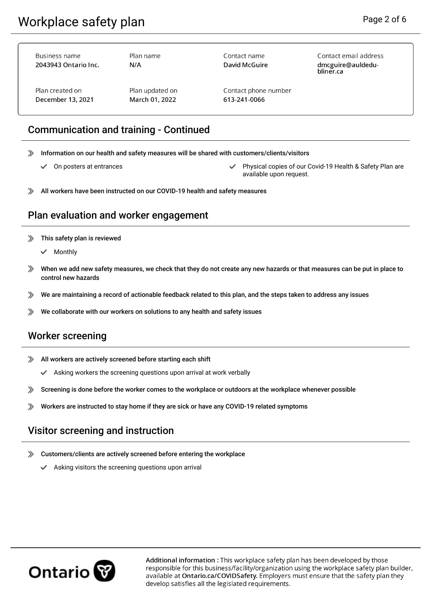Contact email address dmcguire@auldedu-

bliner.ca

| Plan name | Contact name                      |
|-----------|-----------------------------------|
| N/A       | David McGuire                     |
|           |                                   |
|           | Contact phone number              |
|           | 613-241-0066                      |
|           |                                   |
|           | Plan updated on<br>March 01, 2022 |

## Communication and training - Continued

- Information on our health and safety measures will be shared with customers/clients/visitors ≫
	- ✓
		- On posters at entrances **Physical copies of our Covid-19 Health & Safety Plan are** available upon request.
- ≫ All workers have been instructed on our COVID-19 health and safety measures

#### Plan evaluation and worker engagement

- $\gg$  This safety plan is reviewed
	- Monthly

- $\gg$ When we add new safety measures, we check that they do not create any new hazards or that measures can be put in place to control new hazards
- We are maintaining a record of actionable feedback related to this plan, and the steps taken to address any issues ≫
- We collaborate with our workers on solutions to any health and safety issues ≫

### Worker screening

- $\gg$ All workers are actively screened before starting each shift
	- Asking workers the screening questions upon arrival at work verbally
- ≫ Screening is done before the worker comes to the workplace or outdoors at the workplace whenever possible
- ≫ Workers are instructed to stay home if they are sick or have any COVID-19 related symptoms

### Visitor screening and instruction

- ≫ Customers/clients are actively screened before entering the workplace
	- Asking visitors the screening questions upon arrival

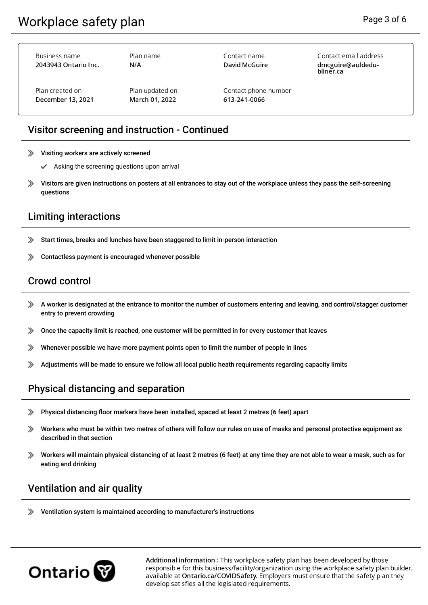| Business name<br>2043943 Ontario Inc. | Plan name<br>N/A | Contact name<br>David McGuire | Contact email address<br>dmcguire@auldedu-<br>bliner.ca |
|---------------------------------------|------------------|-------------------------------|---------------------------------------------------------|
| Plan created on                       | Plan updated on  | Contact phone number          |                                                         |
| December 13, 2021                     | March 01, 2022   | 613-241-0066                  |                                                         |

## Visitor screening and instruction - Continued

- Visiting workers are actively screened ≫
	- ✓ Asking the screening questions upon arrival
- ≫ Visitors are given instructions on posters at all entrances to stay out of the workplace unless they pass the self-screening questions

# Limiting interactions

- ≫ Start times, breaks and lunches have been staggered to limit in-person interaction
- Contactless payment is encouraged whenever possible ≫

# Crowd control

- A worker is designated at the entrance to monitor the number of customers entering and leaving, and control/stagger customer entry to prevent crowding
- Once the capacity limit is reached, one customer will be permitted in for every customer that leaves ≫
- Whenever possible we have more payment points open to limit the number of people in lines ≫
- ≫ Adjustments will be made to ensure we follow all local public heath requirements regarding capacity limits

### Physical distancing and separation

- ≫ Physical distancing foor markers have been installed, spaced at least 2 metres (6 feet) apart
- ≫ Workers who must be within two metres of others will follow our rules on use of masks and personal protective equipment as described in that section
- ≫ Workers will maintain physical distancing of at least 2 metres (6 feet) at any time they are not able to wear a mask, such as for eating and drinking

### Ventilation and air quality

≫ Ventilation system is maintained according to manufacturer's instructions

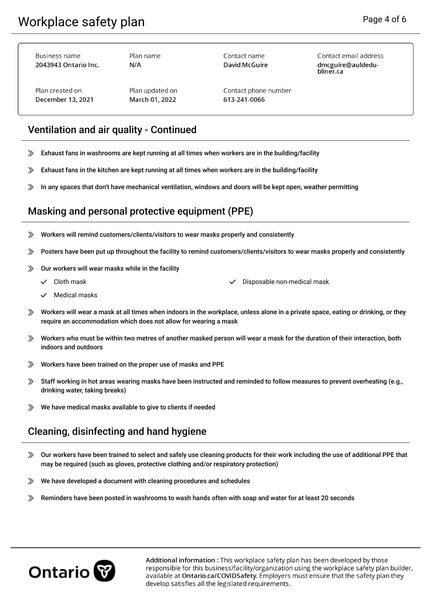**Business name** 

| 2043943 Ontario Inc. | N/A  |  |
|----------------------|------|--|
| Plan created on      | Plar |  |
| December 13, 2021    | Mai  |  |

Plan name

Contact name **David McGuire**  Contact email address dmcguire@auldedubliner.ca

n updated on rch 01.2022

Contact phone number 613-241-0066

# Ventilation and air quality - Continued

- Exhaust fans in washrooms are kept running at all times when workers are in the building/facility ≫
- Exhaust fans in the kitchen are kept running at all times when workers are in the building/facility ≫
- In any spaces that don't have mechanical ventilation, windows and doors will be kept open, weather permitting ≫

## Masking and personal protective equipment (PPE)

- Workers will remind customers/clients/visitors to wear masks properly and consistently ≫
- ≫ Posters have been put up throughout the facility to remind customers/clients/visitors to wear masks properly and consistently
- ≫ Our workers will wear masks while in the facility
	- - Cloth mask Disposable non-medical mask
	- Medical masks
- $\gg$ Workers will wear a mask at all times when indoors in the workplace, unless alone in a private space, eating or drinking, or they require an accommodation which does not allow for wearing a mask
- Workers who must be within two metres of another masked person will wear a mask for the duration of their interaction, both indoors and outdoors
- ≫ Workers have been trained on the proper use of masks and PPE
- ≫ Staff working in hot areas wearing masks have been instructed and reminded to follow measures to prevent overheating (e.g., drinking water, taking breaks)
- $\gg$ We have medical masks available to give to clients if needed

# Cleaning, disinfecting and hand hygiene

- Our workers have been trained to select and safely use cleaning products for their work including the use of additional PPE that  $\gg$ may be required (such as gloves, protective clothing and/or respiratory protection)
- We have developed a document with cleaning procedures and schedules ≫
- ≫ Reminders have been posted in washrooms to wash hands often with soap and water for at least 20 seconds

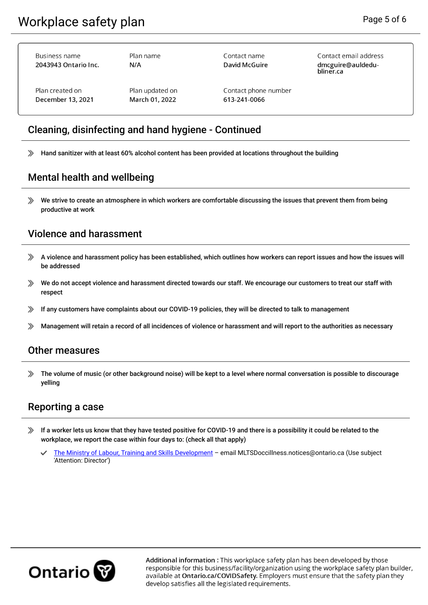| Business name<br>2043943 Ontario Inc. | Plan name<br>N/A | Contact name<br>David McGuire | Contact email address<br>dmcguire@auldedu-<br>bliner.ca |
|---------------------------------------|------------------|-------------------------------|---------------------------------------------------------|
| Plan created on                       | Plan updated on  | Contact phone number          |                                                         |
| December 13, 2021                     | March 01, 2022   | 613-241-0066                  |                                                         |

# Cleaning, disinfecting and hand hygiene - Continued

Hand sanitizer with at least 60% alcohol content has been provided at locations throughout the building  $\gg$ 

#### Mental health and wellbeing

We strive to create an atmosphere in which workers are comfortable discussing the issues that prevent them from being ≫ productive at work

### Violence and harassment

- A violence and harassment policy has been established, which outlines how workers can report issues and how the issues will be addressed
- We do not accept violence and harassment directed towards our staff. We encourage our customers to treat our staff with ≫ respect
- If any customers have complaints about our COVID-19 policies, they will be directed to talk to management ≫
- Management will retain a record of all incidences of violence or harassment and will report to the authorities as necessary ≫

#### Other measures

≫ The volume of music (or other background noise) will be kept to a level where normal conversation is possible to discourage yelling

### Reporting a case

- If a worker lets us know that they have tested positive for COVID-19 and there is a possibility it could be related to the ≫ workplace, we report the case within four days to: (check all that apply)
	- [The Ministry of Labour, Training and Skills Development](https://www.ontario.ca/page/reporting-workplace-incidents-or-structural-hazards#section-3) email MLTSDoccillness.notices@ontario.ca (Use subject 'Attention: Director')